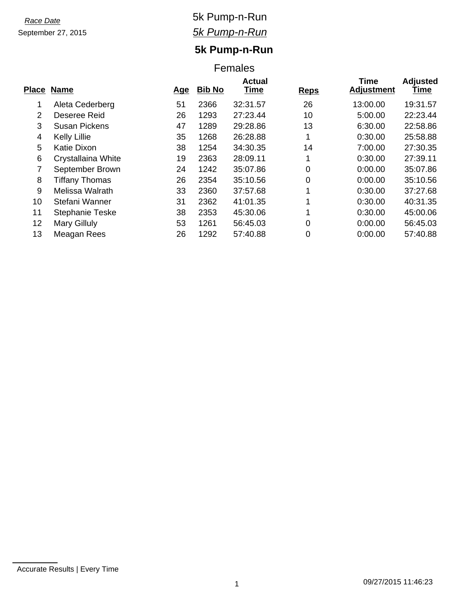# September 27, 2015

### *Race Date* 5k Pump-n-Run *5k Pump-n-Run*

## **5k Pump-n-Run**

#### Females

| <b>Name</b>            | <u>Age</u> | <b>Bib No</b> | <b>Actual</b><br>Time | <b>Reps</b> | <b>Time</b><br><b>Adjustment</b> | <b>Adjusted</b><br>Time |
|------------------------|------------|---------------|-----------------------|-------------|----------------------------------|-------------------------|
| Aleta Cederberg        | 51         | 2366          | 32:31.57              | 26          | 13:00.00                         | 19:31.57                |
| Deseree Reid           | 26         | 1293          | 27:23.44              | 10          | 5:00.00                          | 22:23.44                |
| <b>Susan Pickens</b>   | 47         | 1289          | 29:28.86              | 13          | 6:30.00                          | 22:58.86                |
| Kelly Lillie           | 35         | 1268          | 26:28.88              |             | 0:30.00                          | 25:58.88                |
| Katie Dixon            | 38         | 1254          | 34:30.35              | 14          | 7:00.00                          | 27:30.35                |
| Crystallaina White     | 19         | 2363          | 28:09.11              | 1           | 0:30.00                          | 27:39.11                |
| September Brown        | 24         | 1242          | 35:07.86              | $\Omega$    | 0:00.00                          | 35:07.86                |
| <b>Tiffany Thomas</b>  | 26         | 2354          | 35:10.56              | 0           | 0:00.00                          | 35:10.56                |
| Melissa Walrath        | 33         | 2360          | 37:57.68              | ◢           | 0:30.00                          | 37:27.68                |
| Stefani Wanner         | 31         | 2362          | 41:01.35              |             | 0:30.00                          | 40:31.35                |
| <b>Stephanie Teske</b> | 38         | 2353          | 45:30.06              | 4           | 0:30.00                          | 45:00.06                |
| Mary Gilluly           | 53         | 1261          | 56:45.03              | 0           | 0:00.00                          | 56:45.03                |
| Meagan Rees            | 26         | 1292          | 57:40.88              | 0           | 0:00.00                          | 57:40.88                |
|                        | Place      |               |                       |             |                                  |                         |

Accurate Results | Every Time